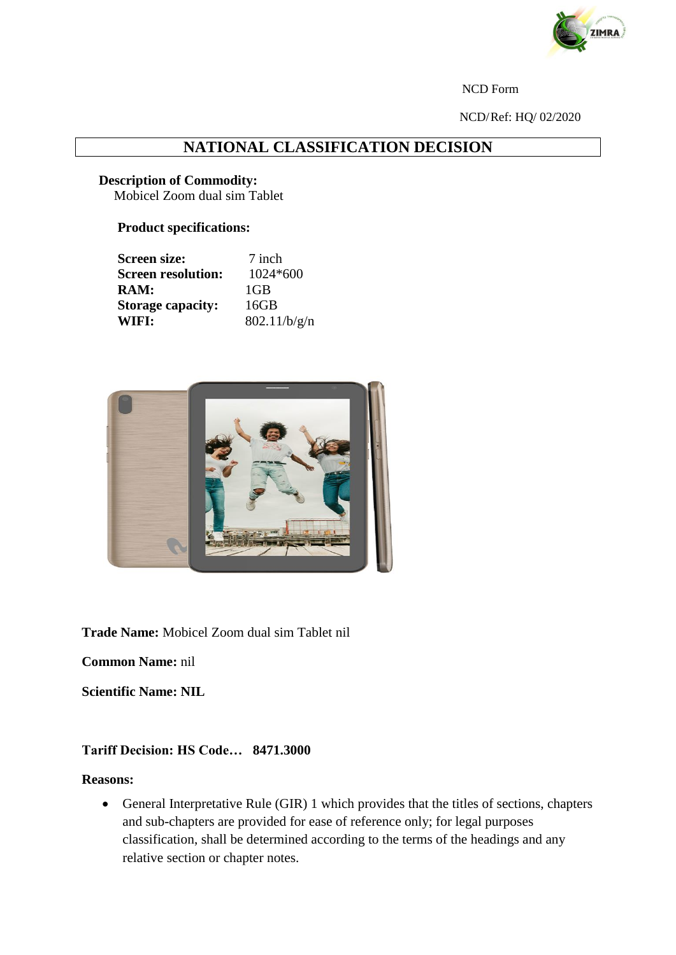

NCD Form

NCD/Ref: HQ/ 02/2020

# **NATIONAL CLASSIFICATION DECISION**

#### **Description of Commodity:**

Mobicel Zoom dual sim Tablet

## **Product specifications:**

| <b>Screen size:</b>       | 7 inch       |
|---------------------------|--------------|
| <b>Screen resolution:</b> | $1024*600$   |
| $\mathbf{RAM:}$           | $1$ GB       |
| <b>Storage capacity:</b>  | 16GB         |
| WIFI:                     | 802.11/b/g/n |



**Trade Name:** Mobicel Zoom dual sim Tablet nil

**Common Name:** nil

**Scientific Name: NIL**

### **Tariff Decision: HS Code… 8471.3000**

#### **Reasons:**

 General Interpretative Rule (GIR) 1 which provides that the titles of sections, chapters and sub-chapters are provided for ease of reference only; for legal purposes classification, shall be determined according to the terms of the headings and any relative section or chapter notes.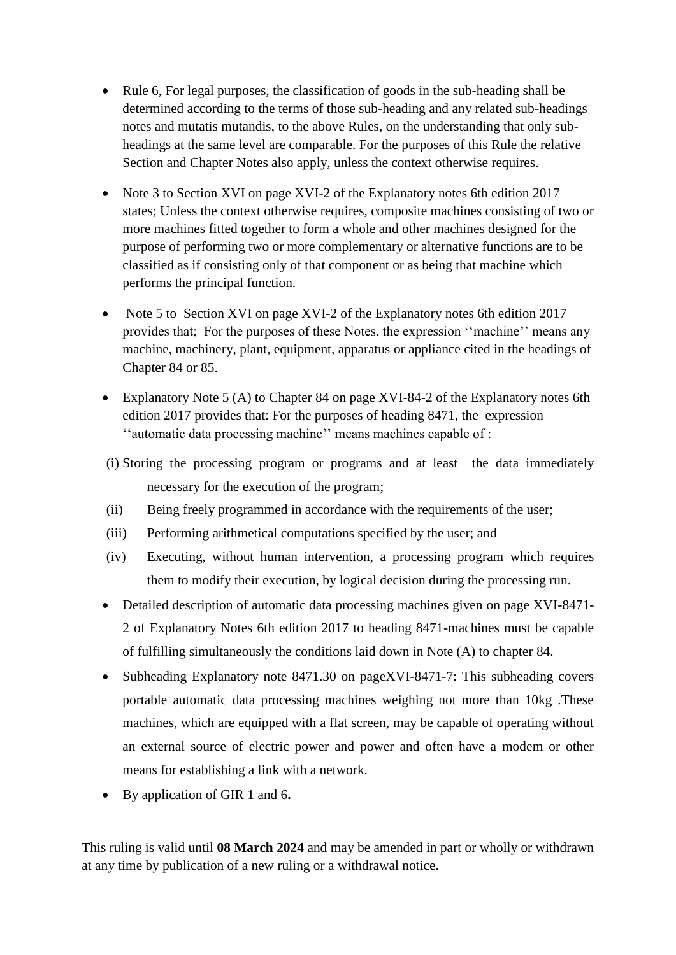- Rule 6, For legal purposes, the classification of goods in the sub-heading shall be determined according to the terms of those sub-heading and any related sub-headings notes and mutatis mutandis, to the above Rules, on the understanding that only subheadings at the same level are comparable. For the purposes of this Rule the relative Section and Chapter Notes also apply, unless the context otherwise requires.
- Note 3 to Section XVI on page XVI-2 of the Explanatory notes 6th edition 2017 states; Unless the context otherwise requires, composite machines consisting of two or more machines fitted together to form a whole and other machines designed for the purpose of performing two or more complementary or alternative functions are to be classified as if consisting only of that component or as being that machine which performs the principal function.
- Note 5 to Section XVI on page XVI-2 of the Explanatory notes 6th edition 2017 provides that; For the purposes of these Notes, the expression ''machine'' means any machine, machinery, plant, equipment, apparatus or appliance cited in the headings of Chapter 84 or 85.
- Explanatory Note 5 (A) to Chapter 84 on page XVI-84-2 of the Explanatory notes 6th edition 2017 provides that: For the purposes of heading 8471, the expression ''automatic data processing machine'' means machines capable of :
- (i) Storing the processing program or programs and at least the data immediately necessary for the execution of the program;
- (ii) Being freely programmed in accordance with the requirements of the user;
- (iii) Performing arithmetical computations specified by the user; and
- (iv) Executing, without human intervention, a processing program which requires them to modify their execution, by logical decision during the processing run.
- Detailed description of automatic data processing machines given on page XVI-8471- 2 of Explanatory Notes 6th edition 2017 to heading 8471-machines must be capable of fulfilling simultaneously the conditions laid down in Note (A) to chapter 84.
- Subheading Explanatory note 8471.30 on pageXVI-8471-7: This subheading covers portable automatic data processing machines weighing not more than 10kg .These machines, which are equipped with a flat screen, may be capable of operating without an external source of electric power and power and often have a modem or other means for establishing a link with a network.
- By application of GIR 1 and 6**.**

This ruling is valid until **08 March 2024** and may be amended in part or wholly or withdrawn at any time by publication of a new ruling or a withdrawal notice.